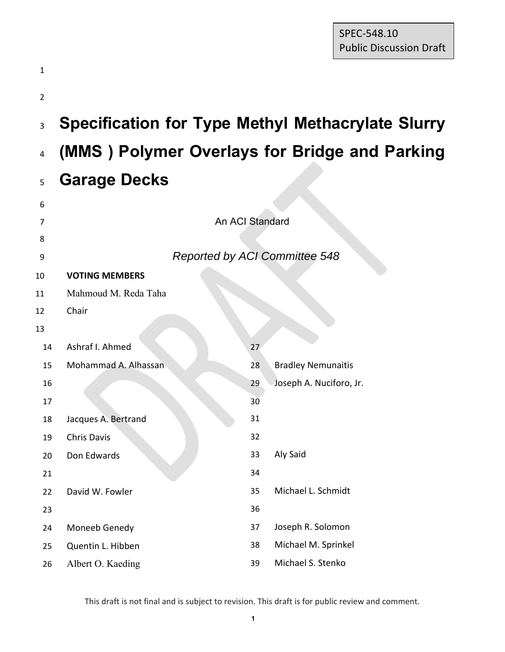| 1              |                       |                                      |                                                          |
|----------------|-----------------------|--------------------------------------|----------------------------------------------------------|
| $\overline{2}$ |                       |                                      |                                                          |
| $\overline{3}$ |                       |                                      | <b>Specification for Type Methyl Methacrylate Slurry</b> |
| $\pmb{4}$      |                       |                                      | (MMS) Polymer Overlays for Bridge and Parking            |
| 5              | <b>Garage Decks</b>   |                                      |                                                          |
| 6              |                       |                                      |                                                          |
| 7              |                       | An ACI Standard                      |                                                          |
| 8              |                       |                                      |                                                          |
| 9              |                       | <b>Reported by ACI Committee 548</b> |                                                          |
| 10             | <b>VOTING MEMBERS</b> |                                      |                                                          |
| 11             | Mahmoud M. Reda Taha  |                                      |                                                          |
| 12             | Chair                 |                                      |                                                          |
| 13             |                       |                                      |                                                          |
| 14             | Ashraf I. Ahmed       | 27                                   |                                                          |
| 15             | Mohammad A. Alhassan  | 28                                   | <b>Bradley Nemunaitis</b>                                |
| 16             |                       | 29                                   | Joseph A. Nuciforo, Jr.                                  |
| 17             |                       | 30 <sub>o</sub>                      |                                                          |
| 18             | Jacques A. Bertrand   | 31                                   |                                                          |
| 19             | Chris Davis           | 32                                   |                                                          |
| 20             | Don Edwards           | 33                                   | Aly Said                                                 |
| 21             |                       | 34                                   |                                                          |
| 22             | David W. Fowler       | 35                                   | Michael L. Schmidt                                       |
| 23             |                       | 36                                   |                                                          |
| 24             | Moneeb Genedy         | 37                                   | Joseph R. Solomon                                        |
| 25             | Quentin L. Hibben     | 38                                   | Michael M. Sprinkel                                      |
| 26             | Albert O. Kaeding     | 39                                   | Michael S. Stenko                                        |

This draft is not final and is subject to revision. This draft is for public review and comment.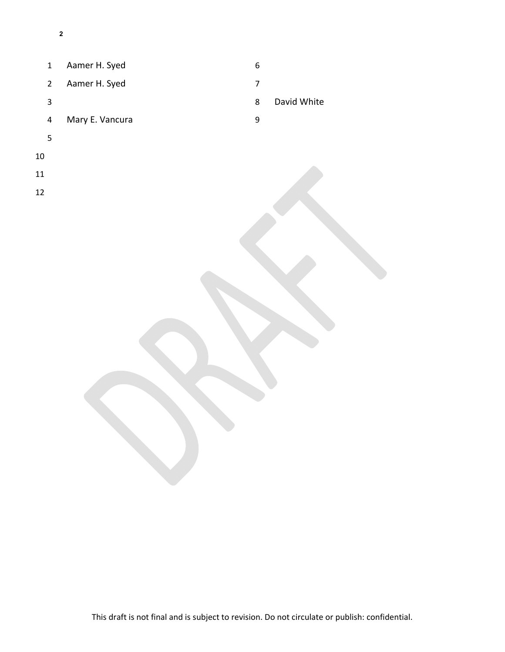- 1 Aamer H. Syed 2 Aamer H. Syed 4 Mary E. Vancura 8 David White
- 

- 
- 
-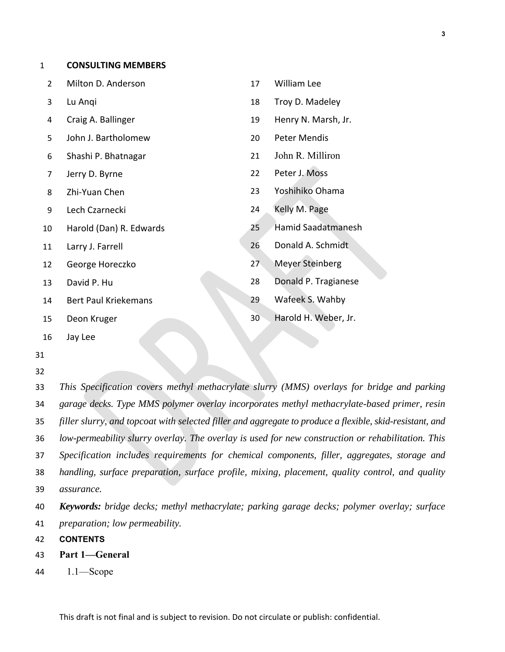|  | <b>CONSULTING MEMBERS</b> |  |
|--|---------------------------|--|
|--|---------------------------|--|

| Milton D. Anderson          | 17 | <b>William Lee</b>   |
|-----------------------------|----|----------------------|
| Lu Angi                     | 18 | Troy D. Madeley      |
| Craig A. Ballinger          | 19 | Henry N. Marsh, Jr.  |
| John J. Bartholomew         | 20 | <b>Peter Mendis</b>  |
| Shashi P. Bhatnagar         | 21 | John R. Milliron     |
| Jerry D. Byrne              | 22 | Peter J. Moss        |
| Zhi-Yuan Chen               | 23 | Yoshihiko Ohama      |
| Lech Czarnecki              | 24 | Kelly M. Page        |
| Harold (Dan) R. Edwards     | 25 | Hamid Saadatmanesh   |
| Larry J. Farrell            | 26 | Donald A. Schmidt    |
| George Horeczko             | 27 | Meyer Steinberg      |
| David P. Hu                 | 28 | Donald P. Tragianese |
| <b>Bert Paul Kriekemans</b> | 29 | Wafeek S. Wahby      |
| Deon Kruger                 | 30 | Harold H. Weber, Jr. |
|                             |    |                      |

16 Jay Lee

- 31
- 32

*This Specification covers methyl methacrylate slurry (MMS) overlays for bridge and parking garage decks. Type MMS polymer overlay incorporates methyl methacrylate-based primer, resin filler slurry, and topcoat with selected filler and aggregate to produce a flexible, skid-resistant, and low-permeability slurry overlay. The overlay is used for new construction or rehabilitation. This Specification includes requirements for chemical components, filler, aggregates, storage and handling, surface preparation, surface profile, mixing, placement, quality control, and quality assurance.* 

40 *Keywords: bridge decks; methyl methacrylate; parking garage decks; polymer overlay; surface*  41 *preparation; low permeability.* 

- 42 **CONTENTS**
- 43 **Part 1—General**
- 44 1.1—Scope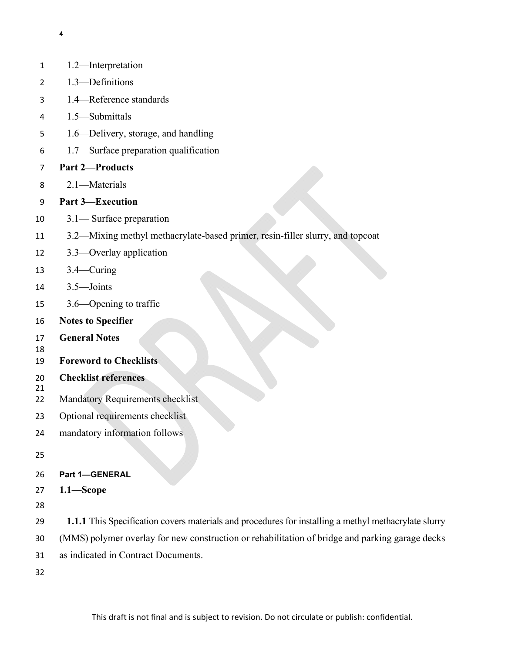1.2—Interpretation

1.4—Reference standards

1.3—Definitions

- 1.5—Submittals 1.6—Delivery, storage, and handling 1.7—Surface preparation qualification **Part 2—Products**  2.1—Materials **Part 3—Execution**  3.1— Surface preparation 3.2—Mixing methyl methacrylate-based primer, resin-filler slurry, and topcoat 3.3—Overlay application 3.4—Curing 3.5—Joints 3.6—Opening to traffic **Notes to Specifier General Notes Foreword to Checklists Checklist references**  Mandatory Requirements checklist Optional requirements checklist mandatory information follows **Part 1—GENERAL 1.1—Scope 1.1.1** This Specification covers materials and procedures for installing a methyl methacrylate slurry (MMS) polymer overlay for new construction or rehabilitation of bridge and parking garage decks as indicated in Contract Documents.
-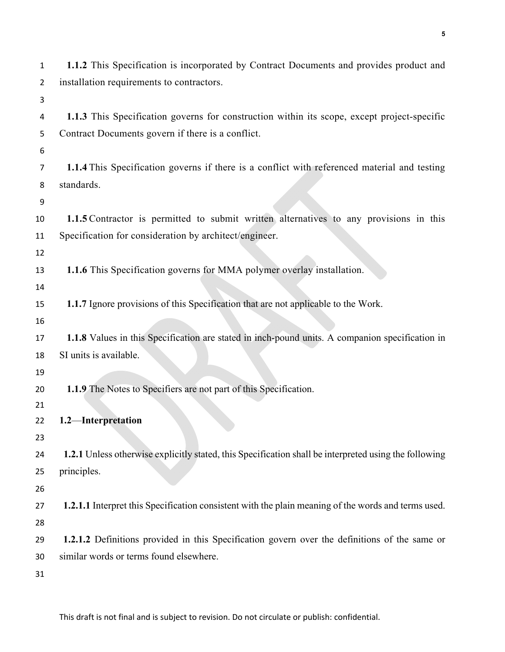| 1  | 1.1.2 This Specification is incorporated by Contract Documents and provides product and               |
|----|-------------------------------------------------------------------------------------------------------|
| 2  | installation requirements to contractors.                                                             |
| 3  |                                                                                                       |
| 4  | 1.1.3 This Specification governs for construction within its scope, except project-specific           |
| 5  | Contract Documents govern if there is a conflict.                                                     |
| 6  |                                                                                                       |
| 7  | 1.1.4 This Specification governs if there is a conflict with referenced material and testing          |
| 8  | standards.                                                                                            |
| 9  |                                                                                                       |
| 10 | 1.1.5 Contractor is permitted to submit written alternatives to any provisions in this                |
| 11 | Specification for consideration by architect/engineer.                                                |
| 12 |                                                                                                       |
| 13 | 1.1.6 This Specification governs for MMA polymer overlay installation.                                |
| 14 |                                                                                                       |
| 15 | 1.1.7 Ignore provisions of this Specification that are not applicable to the Work.                    |
| 16 |                                                                                                       |
| 17 | 1.1.8 Values in this Specification are stated in inch-pound units. A companion specification in       |
| 18 | SI units is available.                                                                                |
| 19 |                                                                                                       |
| 20 | 1.1.9 The Notes to Specifiers are not part of this Specification.                                     |
| 21 |                                                                                                       |
| 22 | 1.2-Interpretation                                                                                    |
| 23 |                                                                                                       |
| 24 | 1.2.1 Unless otherwise explicitly stated, this Specification shall be interpreted using the following |
| 25 | principles.                                                                                           |
| 26 |                                                                                                       |
| 27 | 1.2.1.1 Interpret this Specification consistent with the plain meaning of the words and terms used.   |
| 28 |                                                                                                       |
| 29 | 1.2.1.2 Definitions provided in this Specification govern over the definitions of the same or         |
| 30 | similar words or terms found elsewhere.                                                               |
| 31 |                                                                                                       |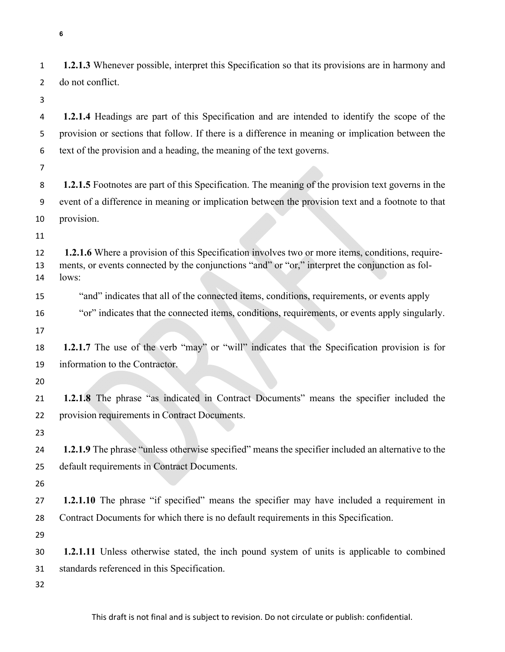**1.2.1.3** Whenever possible, interpret this Specification so that its provisions are in harmony and do not conflict.

**1.2.1.4** Headings are part of this Specification and are intended to identify the scope of the provision or sections that follow. If there is a difference in meaning or implication between the text of the provision and a heading, the meaning of the text governs.

**1.2.1.5** Footnotes are part of this Specification. The meaning of the provision text governs in the event of a difference in meaning or implication between the provision text and a footnote to that provision.

**1.2.1.6** Where a provision of this Specification involves two or more items, conditions, require-ments, or events connected by the conjunctions "and" or "or," interpret the conjunction as fol-lows:

"and" indicates that all of the connected items, conditions, requirements, or events apply

"or" indicates that the connected items, conditions, requirements, or events apply singularly.

**1.2.1.7** The use of the verb "may" or "will" indicates that the Specification provision is for information to the Contractor.

**1.2.1.8** The phrase "as indicated in Contract Documents" means the specifier included the provision requirements in Contract Documents.

**1.2.1.9** The phrase "unless otherwise specified" means the specifier included an alternative to the default requirements in Contract Documents.

**1.2.1.10** The phrase "if specified" means the specifier may have included a requirement in Contract Documents for which there is no default requirements in this Specification.

**1.2.1.11** Unless otherwise stated, the inch pound system of units is applicable to combined standards referenced in this Specification.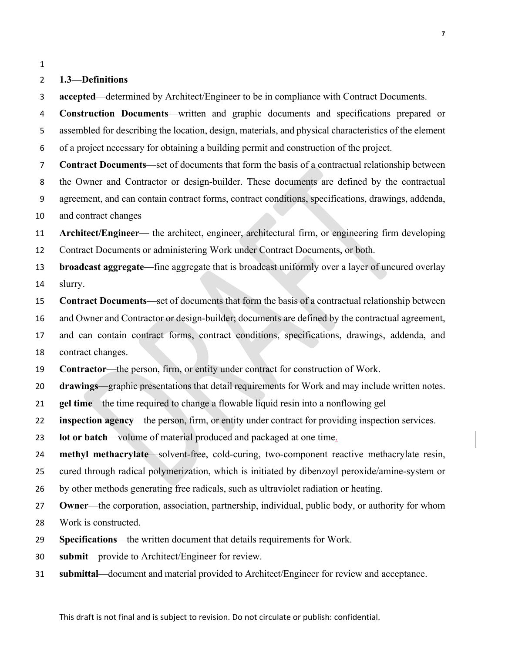#### **1.3—Definitions**

**accepted**—determined by Architect/Engineer to be in compliance with Contract Documents.

**Construction Documents**—written and graphic documents and specifications prepared or assembled for describing the location, design, materials, and physical characteristics of the element of a project necessary for obtaining a building permit and construction of the project.

**Contract Documents**—set of documents that form the basis of a contractual relationship between the Owner and Contractor or design-builder. These documents are defined by the contractual agreement, and can contain contract forms, contract conditions, specifications, drawings, addenda, and contract changes

**Architect/Engineer**— the architect, engineer, architectural firm, or engineering firm developing Contract Documents or administering Work under Contract Documents, or both.

**broadcast aggregate**—fine aggregate that is broadcast uniformly over a layer of uncured overlay slurry.

**Contract Documents**—set of documents that form the basis of a contractual relationship between

and Owner and Contractor or design-builder; documents are defined by the contractual agreement,

and can contain contract forms, contract conditions, specifications, drawings, addenda, and

contract changes.

**Contractor**—the person, firm, or entity under contract for construction of Work.

**drawings**—graphic presentations that detail requirements for Work and may include written notes.

**gel time**—the time required to change a flowable liquid resin into a nonflowing gel

**inspection agency**—the person, firm, or entity under contract for providing inspection services.

**lot or batch**—volume of material produced and packaged at one time.

**methyl methacrylate**—solvent-free, cold-curing, two-component reactive methacrylate resin,

cured through radical polymerization, which is initiated by dibenzoyl peroxide/amine-system or

by other methods generating free radicals, such as ultraviolet radiation or heating.

**Owner**—the corporation, association, partnership, individual, public body, or authority for whom

Work is constructed.

- **Specifications**—the written document that details requirements for Work.
- **submit**—provide to Architect/Engineer for review.
- **submittal**—document and material provided to Architect/Engineer for review and acceptance.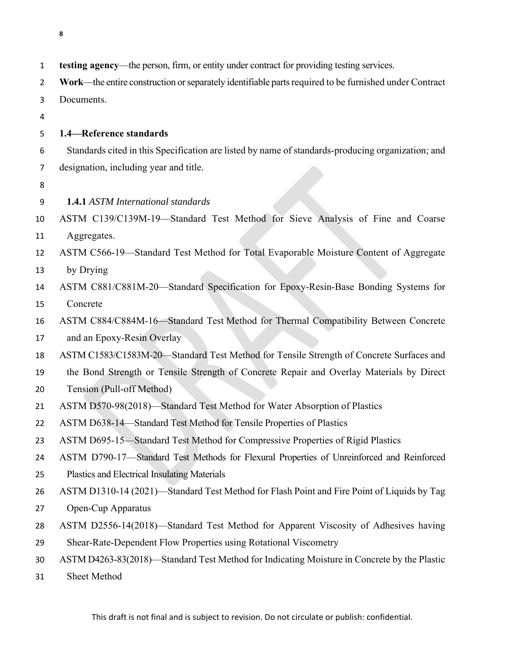| $\mathbf 1$    | testing agency—the person, firm, or entity under contract for providing testing services.             |
|----------------|-------------------------------------------------------------------------------------------------------|
| $\overline{2}$ | Work—the entire construction or separately identifiable parts required to be furnished under Contract |
| 3              | Documents.                                                                                            |
| 4              |                                                                                                       |
| 5              | 1.4-Reference standards                                                                               |
| 6              | Standards cited in this Specification are listed by name of standards-producing organization; and     |
| $\overline{7}$ | designation, including year and title.                                                                |
| 8              |                                                                                                       |
| 9              | <b>1.4.1 ASTM International standards</b>                                                             |
| 10             | ASTM C139/C139M-19-Standard Test Method for Sieve Analysis of Fine and Coarse                         |
| 11             | Aggregates.                                                                                           |
| 12             | ASTM C566-19-Standard Test Method for Total Evaporable Moisture Content of Aggregate                  |
| 13             | by Drying                                                                                             |
| 14             | ASTM C881/C881M-20-Standard Specification for Epoxy-Resin-Base Bonding Systems for                    |
| 15             | Concrete                                                                                              |
| 16             | ASTM C884/C884M-16-Standard Test Method for Thermal Compatibility Between Concrete                    |
| 17             | and an Epoxy-Resin Overlay                                                                            |
| 18             | ASTM C1583/C1583M-20-Standard Test Method for Tensile Strength of Concrete Surfaces and               |
| 19             | the Bond Strength or Tensile Strength of Concrete Repair and Overlay Materials by Direct              |
| 20             | Tension (Pull-off Method)                                                                             |
| 21             | ASTM D570-98(2018)-Standard Test Method for Water Absorption of Plastics                              |
| 22             | ASTM D638-14-Standard Test Method for Tensile Properties of Plastics                                  |
| 23             | ASTM D695-15—Standard Test Method for Compressive Properties of Rigid Plastics                        |
| 24             | ASTM D790-17-Standard Test Methods for Flexural Properties of Unreinforced and Reinforced             |
| 25             | Plastics and Electrical Insulating Materials                                                          |
| 26             | ASTM D1310-14 (2021)—Standard Test Method for Flash Point and Fire Point of Liquids by Tag            |
| 27             | Open-Cup Apparatus                                                                                    |
| 28             | ASTM D2556-14(2018)—Standard Test Method for Apparent Viscosity of Adhesives having                   |
| 29             | Shear-Rate-Dependent Flow Properties using Rotational Viscometry                                      |
| 30             | ASTM D4263-83(2018)—Standard Test Method for Indicating Moisture in Concrete by the Plastic           |
| 31             | Sheet Method                                                                                          |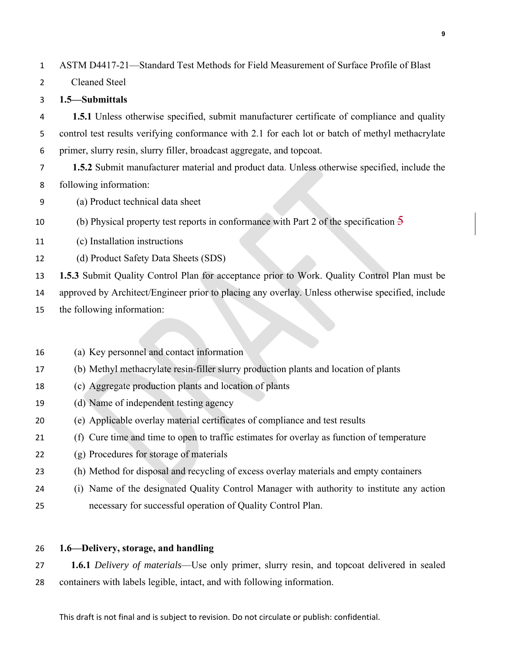ASTM D4417-21—Standard Test Methods for Field Measurement of Surface Profile of Blast

Cleaned Steel

## **1.5—Submittals**

**1.5.1** Unless otherwise specified, submit manufacturer certificate of compliance and quality control test results verifying conformance with 2.1 for each lot or batch of methyl methacrylate primer, slurry resin, slurry filler, broadcast aggregate, and topcoat.

**1.5.2** Submit manufacturer material and product data. Unless otherwise specified, include the following information:

(a) Product technical data sheet

10 (b) Physical property test reports in conformance with Part 2 of the specification  $\frac{5}{9}$ 

- (c) Installation instructions
- (d) Product Safety Data Sheets (SDS)

**1.5.3** Submit Quality Control Plan for acceptance prior to Work. Quality Control Plan must be

approved by Architect/Engineer prior to placing any overlay. Unless otherwise specified, include

- the following information:
- (a) Key personnel and contact information
- (b) Methyl methacrylate resin-filler slurry production plants and location of plants
- (c) Aggregate production plants and location of plants
- (d) Name of independent testing agency
- (e) Applicable overlay material certificates of compliance and test results
- (f) Cure time and time to open to traffic estimates for overlay as function of temperature
- (g) Procedures for storage of materials
- (h) Method for disposal and recycling of excess overlay materials and empty containers
- (i) Name of the designated Quality Control Manager with authority to institute any action necessary for successful operation of Quality Control Plan.

## **1.6—Delivery, storage, and handling**

**1.6.1** *Delivery of materials*—Use only primer, slurry resin, and topcoat delivered in sealed containers with labels legible, intact, and with following information.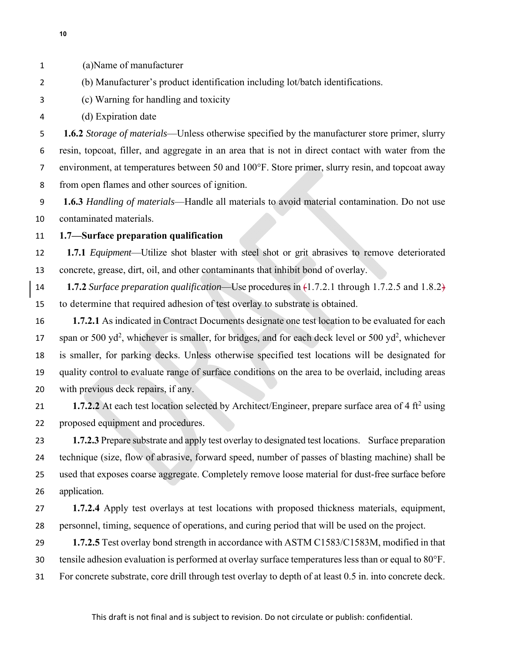- 
- (a)Name of manufacturer
- (b) Manufacturer's product identification including lot/batch identifications.
- (c) Warning for handling and toxicity
- (d) Expiration date

**1.6.2** *Storage of materials*—Unless otherwise specified by the manufacturer store primer, slurry resin, topcoat, filler, and aggregate in an area that is not in direct contact with water from the environment, at temperatures between 50 and 100°F. Store primer, slurry resin, and topcoat away from open flames and other sources of ignition.

**1.6.3** *Handling of materials*—Handle all materials to avoid material contamination. Do not use contaminated materials.

# **1.7—Surface preparation qualification**

**1.7.1** *Equipment*—Utilize shot blaster with steel shot or grit abrasives to remove deteriorated concrete, grease, dirt, oil, and other contaminants that inhibit bond of overlay.

**1.7.2** *Surface preparation qualification*—Use procedures in (1.7.2.1 through 1.7.2.5 and 1.8.2) to determine that required adhesion of test overlay to substrate is obtained.

**1.7.2.1** As indicated in Contract Documents designate one test location to be evaluated for each 17 span or 500 yd<sup>2</sup>, whichever is smaller, for bridges, and for each deck level or 500 yd<sup>2</sup>, whichever is smaller, for parking decks. Unless otherwise specified test locations will be designated for quality control to evaluate range of surface conditions on the area to be overlaid, including areas with previous deck repairs, if any.

**1.7.2.2** At each test location selected by Architect/Engineer, prepare surface area of 4 ft<sup>2</sup> using proposed equipment and procedures.

**1.7.2.3** Prepare substrate and apply test overlay to designated test locations. Surface preparation technique (size, flow of abrasive, forward speed, number of passes of blasting machine) shall be used that exposes coarse aggregate. Completely remove loose material for dust-free surface before application.

**1.7.2.4** Apply test overlays at test locations with proposed thickness materials, equipment, personnel, timing, sequence of operations, and curing period that will be used on the project.

**1.7.2.5** Test overlay bond strength in accordance with ASTM C1583/C1583M, modified in that tensile adhesion evaluation is performed at overlay surface temperatures less than or equal to 80°F.

For concrete substrate, core drill through test overlay to depth of at least 0.5 in. into concrete deck.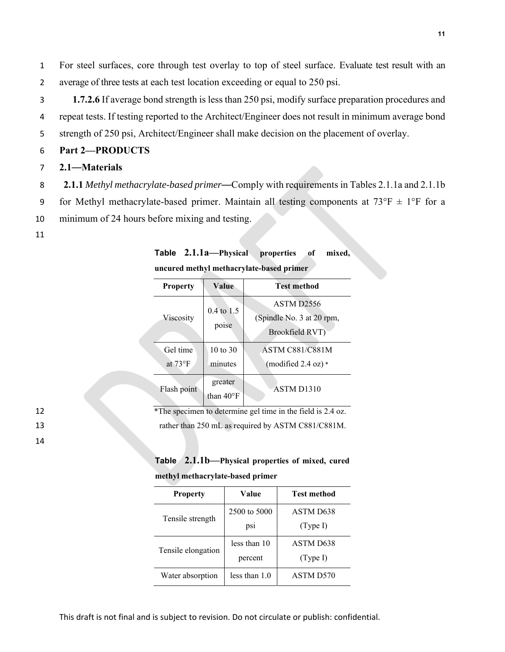1 For steel surfaces, core through test overlay to top of steel surface. Evaluate test result with an 2 average of three tests at each test location exceeding or equal to 250 psi.

3 **1.7.2.6** If average bond strength is less than 250 psi, modify surface preparation procedures and 4 repeat tests. If testing reported to the Architect/Engineer does not result in minimum average bond 5 strength of 250 psi, Architect/Engineer shall make decision on the placement of overlay.

## 6 **Part 2—PRODUCTS**

## 7 **2.1**—**Materials**

- 8 **2.1.1** *Methyl methacrylate-based primer*—Comply with requirements in Tables 2.1.1a and 2.1.1b
- 9 for Methyl methacrylate-based primer. Maintain all testing components at  $73^{\circ}F \pm 1^{\circ}F$  for a
- 10 minimum of 24 hours before mixing and testing.

#### 11

14

| Table 2.1.1a-Physical properties of mixed, |  |  |
|--------------------------------------------|--|--|
| uncured methyl methacrylate-based primer   |  |  |

| <b>Property</b>                             | Value                          | <b>Test method</b>                                                     |  |
|---------------------------------------------|--------------------------------|------------------------------------------------------------------------|--|
| $0.4 \text{ to } 1.5$<br>Viscosity<br>poise |                                | ASTM D <sub>2556</sub><br>(Spindle No. 3 at 20 rpm,<br>Brookfield RVT) |  |
| Gel time                                    | $10 \text{ to } 30$            | <b>ASTM C881/C881M</b>                                                 |  |
| at $73^{\circ}F$                            | minutes                        | (modified 2.4 oz) $*$                                                  |  |
| Flash point                                 | greater<br>than $40^{\circ}$ F | ASTM D <sub>1310</sub>                                                 |  |

12 \*The specimen to determine gel time in the field is 2.4 oz.

13 rather than 250 mL as required by ASTM C881/C881M.

| Table 2.1.1b-Physical properties of mixed, cured |  |  |
|--------------------------------------------------|--|--|
| methyl methacrylate-based primer                 |  |  |

| <b>Property</b>    | Value         | Test method |  |  |  |
|--------------------|---------------|-------------|--|--|--|
|                    | 2500 to 5000  | ASTM D638   |  |  |  |
| Tensile strength   | ps1           | (Type I)    |  |  |  |
| Tensile elongation | less than 10  | ASTM D638   |  |  |  |
|                    | percent       | (Type I)    |  |  |  |
| Water absorption   | less than 1.0 | ASTM D570   |  |  |  |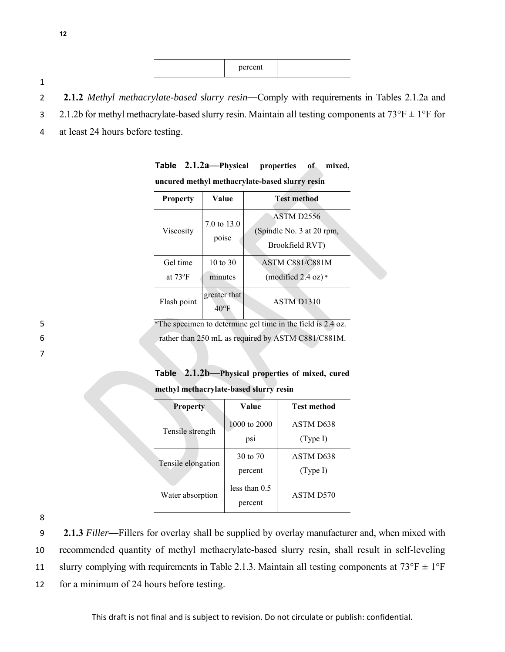|                                                                                            | percent |  |  |
|--------------------------------------------------------------------------------------------|---------|--|--|
|                                                                                            |         |  |  |
| 2.1.2 Methyl methacrylate-based slurry resin—Comply with requirements in Tables 2.1.2a and |         |  |  |

- 3 2.1.2b for methyl methacrylate-based slurry resin. Maintain all testing components at  $73^{\circ}F \pm 1^{\circ}F$  for
- 4 at least 24 hours before testing.

| <b>Property</b>              | Value                          | <b>Test method</b>                                                |
|------------------------------|--------------------------------|-------------------------------------------------------------------|
| Viscosity                    | 7.0 to $13.0$<br>poise         | <b>ASTM D2556</b><br>(Spindle No. 3 at 20 rpm,<br>Brookfield RVT) |
| Gel time<br>at $73^{\circ}F$ | $10 \text{ to } 30$<br>minutes | <b>ASTM C881/C881M</b><br>(modified $2.4$ oz) $*$                 |
| Flash point                  | greater that<br>$40^{\circ}$ F | ASTM D1310                                                        |

**Table 2.1.2a—Physical properties of mixed, uncured methyl methacrylate-based slurry resin**

5 \*The specimen to determine gel time in the field is 2.4 oz. 6 rather than 250 mL as required by ASTM C881/C881M.

7

**Table 2.1.2b—Physical properties of mixed, cured methyl methacrylate-based slurry resin**

| Value           | Test method |  |  |  |  |
|-----------------|-------------|--|--|--|--|
| 1000 to 2000    | ASTM D638   |  |  |  |  |
| psi             | (Type I)    |  |  |  |  |
| 30 to $70$      | ASTM D638   |  |  |  |  |
| percent         | (Type I)    |  |  |  |  |
| less than $0.5$ | ASTM D570   |  |  |  |  |
| percent         |             |  |  |  |  |
|                 |             |  |  |  |  |

8

**2.1.3** *Filler*—Fillers for overlay shall be supplied by overlay manufacturer and, when mixed with recommended quantity of methyl methacrylate-based slurry resin, shall result in self-leveling 11 slurry complying with requirements in Table 2.1.3. Maintain all testing components at  $73^{\circ}F \pm 1^{\circ}F$ for a minimum of 24 hours before testing.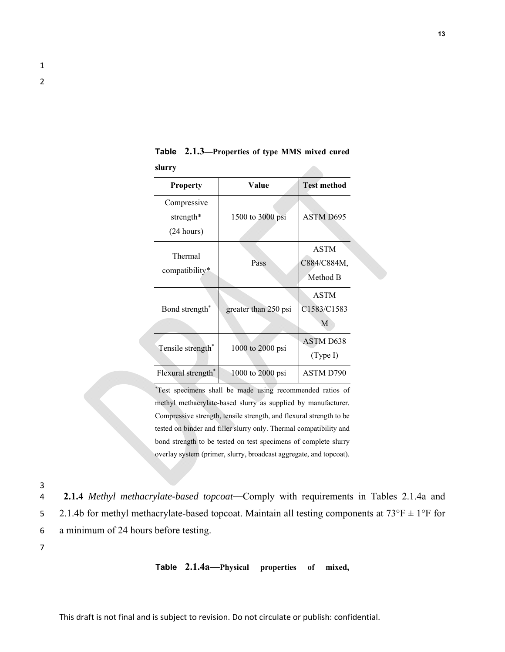| <b>Property</b>                                  | Value                | <b>Test method</b>                                       |
|--------------------------------------------------|----------------------|----------------------------------------------------------|
| Compressive<br>strength*<br>$(24 \text{ hours})$ | 1500 to 3000 psi     | ASTM D695                                                |
| Thermal<br>compatibility*                        | Pass                 | <b>ASTM</b><br>C884/C884M,<br>Method B                   |
| Bond strength <sup>*</sup>                       | greater than 250 psi | <b>ASTM</b><br>C <sub>1583</sub> /C <sub>1583</sub><br>М |
| Tensile strength*                                | 1000 to 2000 psi     | ASTM D638<br>(Type I)                                    |
| Flexural strength*                               | 1000 to $2000$ psi   | ASTM D790                                                |

**Table 2.1.3—Properties of type MMS mixed cured slurry** 

\*Test specimens shall be made using recommended ratios of methyl methacrylate-based slurry as supplied by manufacturer. Compressive strength, tensile strength, and flexural strength to be tested on binder and filler slurry only. Thermal compatibility and bond strength to be tested on test specimens of complete slurry overlay system (primer, slurry, broadcast aggregate, and topcoat).

3

4 **2.1.4** *Methyl methacrylate-based topcoat*—Comply with requirements in Tables 2.1.4a and 5 2.1.4b for methyl methacrylate-based topcoat. Maintain all testing components at  $73^{\circ}F \pm 1^{\circ}F$  for 6 a minimum of 24 hours before testing.

7

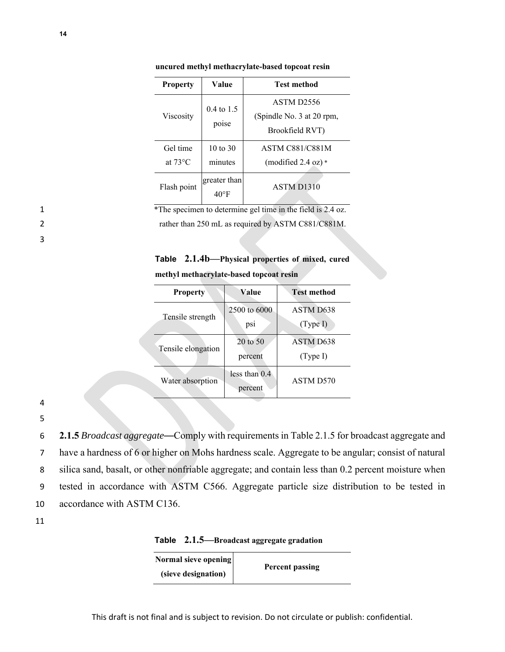| <b>Property</b>               | Value                          | <b>Test method</b>                                                     |
|-------------------------------|--------------------------------|------------------------------------------------------------------------|
| Viscosity                     | $0.4 \text{ to } 1.5$<br>poise | ASTM D <sub>2556</sub><br>(Spindle No. 3 at 20 rpm,<br>Brookfield RVT) |
| Gel time<br>at $73^{\circ}$ C | 10 to 30<br>minutes            | <b>ASTM C881/C881M</b><br>(modified $2.4 \text{ oz}$ ) *               |
| Flash point                   | greater than<br>$40^{\circ}$ F | ASTM D1310                                                             |

**uncured methyl methacrylate-based topcoat resin**

<sup>\*</sup>The specimen to determine gel time in the field is 2.4 oz. 2 rather than 250 mL as required by ASTM C881/C881M.

**Table 2.1.4b—Physical properties of mixed, cured methyl methacrylate-based topcoat resin**

| <b>Property</b>    | Value                          | Test method           |
|--------------------|--------------------------------|-----------------------|
| Tensile strength   | 2500 to 6000<br>ps1            | ASTM D638<br>(Type I) |
| Tensile elongation | $20 \text{ to } 50$<br>percent | ASTM D638<br>(Type I) |
| Water absorption   | less than $0.4$<br>percent     | ASTM D570             |

4

3

5

**2.1.5** *Broadcast aggregate*—Comply with requirements in Table 2.1.5 for broadcast aggregate and have a hardness of 6 or higher on Mohs hardness scale. Aggregate to be angular; consist of natural silica sand, basalt, or other nonfriable aggregate; and contain less than 0.2 percent moisture when tested in accordance with ASTM C566. Aggregate particle size distribution to be tested in accordance with ASTM C136.

**Table 2.1.5—Broadcast aggregate gradation**

| Normal sieve opening | Percent passing |
|----------------------|-----------------|
| (sieve designation)  |                 |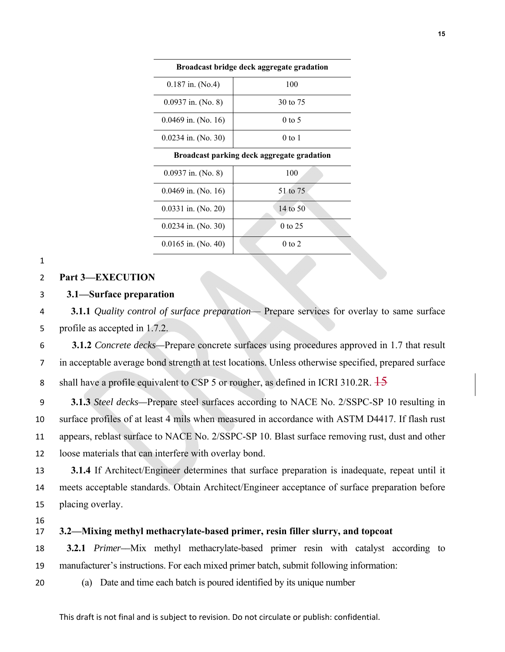| Broadcast bridge deck aggregate gradation |                   |
|-------------------------------------------|-------------------|
| $0.187$ in. (No.4)                        | 100               |
| $0.0937$ in. (No. 8)                      | 30 to 75          |
| $0.0469$ in. (No. 16)                     | $0 \text{ to } 5$ |
| $0.0234$ in. (No. 30)                     | $0$ to 1          |
|                                           |                   |

**Broadcast parking deck aggregate gradation** 

| 100        | $0.0937$ in. (No. 8)  |
|------------|-----------------------|
| 51 to 75   | $0.0469$ in. (No. 16) |
| 14 to 50   | $0.0331$ in. (No. 20) |
| $0$ to 25  | $0.0234$ in. (No. 30) |
| $0$ to $2$ | $0.0165$ in. (No. 40) |

#### 

#### **Part 3—EXECUTION**

## **3.1—Surface preparation**

**3.1.1** *Quality control of surface preparation*— Prepare services for overlay to same surface profile as accepted in 1.7.2.

**3.1.2** *Concrete decks—*Prepare concrete surfaces using procedures approved in 1.7 that result in acceptable average bond strength at test locations. Unless otherwise specified, prepared surface 8 shall have a profile equivalent to CSP 5 or rougher, as defined in ICRI 310.2R.  $\frac{15}{15}$ 

**3.1.3** *Steel decks—*Prepare steel surfaces according to NACE No. 2/SSPC-SP 10 resulting in surface profiles of at least 4 mils when measured in accordance with ASTM D4417. If flash rust appears, reblast surface to NACE No. 2/SSPC-SP 10. Blast surface removing rust, dust and other loose materials that can interfere with overlay bond.

**3.1.4** If Architect/Engineer determines that surface preparation is inadequate, repeat until it meets acceptable standards. Obtain Architect/Engineer acceptance of surface preparation before placing overlay.

# **3.2—Mixing methyl methacrylate-based primer, resin filler slurry, and topcoat**

**3.2.1** *Primer––*Mix methyl methacrylate-based primer resin with catalyst according to manufacturer's instructions. For each mixed primer batch, submit following information:

(a) Date and time each batch is poured identified by its unique number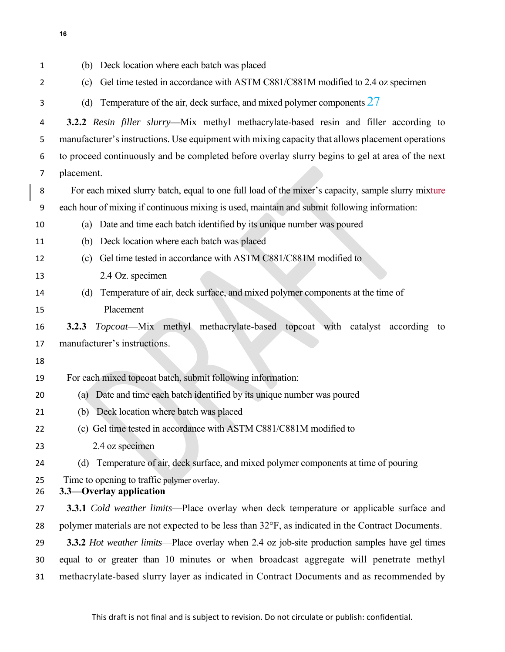| 1        | (b) Deck location where each batch was placed                                                      |
|----------|----------------------------------------------------------------------------------------------------|
| 2        | Gel time tested in accordance with ASTM C881/C881M modified to 2.4 oz specimen<br>(c)              |
| 3        | Temperature of the air, deck surface, and mixed polymer components $27$<br>(d)                     |
| 4        | 3.2.2 Resin filler slurry—Mix methyl methacrylate-based resin and filler according to              |
| 5        | manufacturer's instructions. Use equipment with mixing capacity that allows placement operations   |
| 6        | to proceed continuously and be completed before overlay slurry begins to gel at area of the next   |
| 7        | placement.                                                                                         |
| 8        | For each mixed slurry batch, equal to one full load of the mixer's capacity, sample slurry mixture |
| 9        | each hour of mixing if continuous mixing is used, maintain and submit following information:       |
| 10       | Date and time each batch identified by its unique number was poured<br>(a)                         |
| 11       | Deck location where each batch was placed<br>(b)                                                   |
| 12       | Gel time tested in accordance with ASTM C881/C881M modified to<br>(c)                              |
| 13       | 2.4 Oz. specimen                                                                                   |
| 14       | Temperature of air, deck surface, and mixed polymer components at the time of<br>(d)               |
| 15       | Placement                                                                                          |
| 16       | Topcoat-Mix methyl methacrylate-based topcoat with catalyst according<br>3.2.3<br>to               |
| 17       | manufacturer's instructions.                                                                       |
| 18       |                                                                                                    |
| 19       | For each mixed topcoat batch, submit following information:                                        |
| 20       | Date and time each batch identified by its unique number was poured<br>(a)                         |
| 21       | (b) Deck location where batch was placed                                                           |
| 22       | (c) Gel time tested in accordance with ASTM C881/C881M modified to                                 |
| 23       | 2.4 oz specimen                                                                                    |
| 24       | (d) Temperature of air, deck surface, and mixed polymer components at time of pouring              |
| 25<br>26 | Time to opening to traffic polymer overlay.<br>3.3—Overlay application                             |
| 27       | <b>3.3.1</b> Cold weather limits—Place overlay when deck temperature or applicable surface and     |
| 28       | polymer materials are not expected to be less than 32°F, as indicated in the Contract Documents.   |
| 29       | 3.3.2 Hot weather limits—Place overlay when 2.4 oz job-site production samples have gel times      |
| 30       | equal to or greater than 10 minutes or when broadcast aggregate will penetrate methyl              |
| 31       | methacrylate-based slurry layer as indicated in Contract Documents and as recommended by           |

 $\mathbf{I}$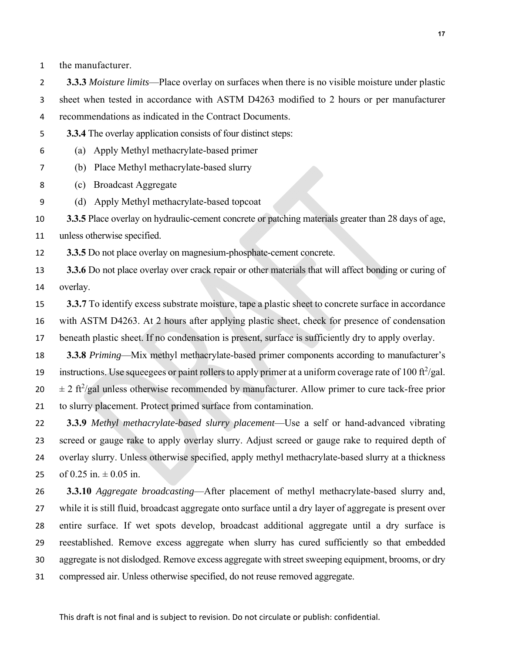the manufacturer.

**3.3.3** *Moisture limits*—Place overlay on surfaces when there is no visible moisture under plastic sheet when tested in accordance with ASTM D4263 modified to 2 hours or per manufacturer recommendations as indicated in the Contract Documents.

- **3.3.4** The overlay application consists of four distinct steps:
- (a) Apply Methyl methacrylate-based primer
- (b) Place Methyl methacrylate-based slurry
- (c) Broadcast Aggregate
- (d) Apply Methyl methacrylate-based topcoat

**3.3.5** Place overlay on hydraulic-cement concrete or patching materials greater than 28 days of age,

unless otherwise specified.

**3.3.5** Do not place overlay on magnesium-phosphate-cement concrete.

**3.3.6** Do not place overlay over crack repair or other materials that will affect bonding or curing of overlay.

**3.3.7** To identify excess substrate moisture, tape a plastic sheet to concrete surface in accordance with ASTM D4263. At 2 hours after applying plastic sheet, check for presence of condensation beneath plastic sheet. If no condensation is present, surface is sufficiently dry to apply overlay.

**3.3.8** *Priming*—Mix methyl methacrylate-based primer components according to manufacturer's instructions. Use squeegees or paint rollers to apply primer at a uniform coverage rate of 100 ft<sup>2</sup>/gal.  $\pm 2$  ft<sup>2</sup>/gal unless otherwise recommended by manufacturer. Allow primer to cure tack-free prior to slurry placement. Protect primed surface from contamination.

**3.3.9** *Methyl methacrylate-based slurry placement*—Use a self or hand-advanced vibrating screed or gauge rake to apply overlay slurry. Adjust screed or gauge rake to required depth of overlay slurry. Unless otherwise specified, apply methyl methacrylate-based slurry at a thickness 25 of  $0.25$  in.  $\pm 0.05$  in.

**3.3.10** *Aggregate broadcasting*—After placement of methyl methacrylate-based slurry and, while it is still fluid, broadcast aggregate onto surface until a dry layer of aggregate is present over entire surface. If wet spots develop, broadcast additional aggregate until a dry surface is reestablished. Remove excess aggregate when slurry has cured sufficiently so that embedded aggregate is not dislodged. Remove excess aggregate with street sweeping equipment, brooms, or dry compressed air. Unless otherwise specified, do not reuse removed aggregate.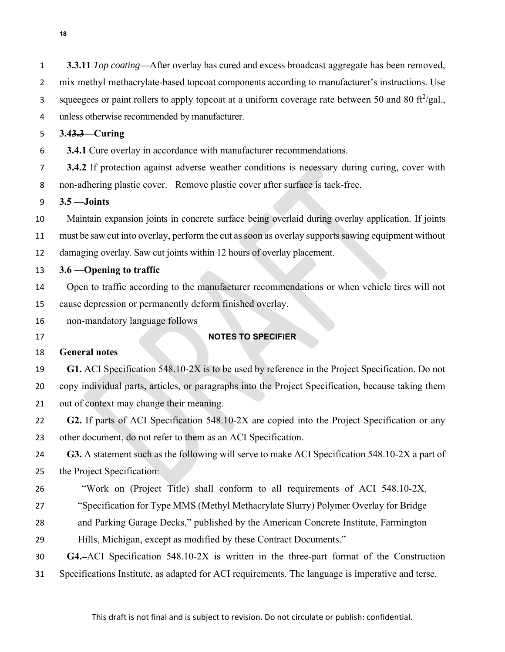| 1              | 3.3.11 Top coating—After overlay has cured and excess broadcast aggregate has been removed,                     |
|----------------|-----------------------------------------------------------------------------------------------------------------|
| $\overline{2}$ | mix methyl methacrylate-based topcoat components according to manufacturer's instructions. Use                  |
| 3              | squeegees or paint rollers to apply topcoat at a uniform coverage rate between 50 and 80 ft <sup>2</sup> /gal., |
| 4              | unless otherwise recommended by manufacturer.                                                                   |
| 5              | $3.43.3$ - Curing                                                                                               |
| 6              | <b>3.4.1</b> Cure overlay in accordance with manufacturer recommendations.                                      |
| 7              | 3.4.2 If protection against adverse weather conditions is necessary during curing, cover with                   |
| 8              | non-adhering plastic cover. Remove plastic cover after surface is tack-free.                                    |
| 9              | $3.5 -$ Joints                                                                                                  |
| 10             | Maintain expansion joints in concrete surface being overlaid during overlay application. If joints              |
| 11             | must be saw cut into overlay, perform the cut as soon as overlay supports sawing equipment without              |
| 12             | damaging overlay. Saw cut joints within 12 hours of overlay placement.                                          |
| 13             | 3.6 – Opening to traffic                                                                                        |
| 14             | Open to traffic according to the manufacturer recommendations or when vehicle tires will not                    |
| 15             | cause depression or permanently deform finished overlay.                                                        |
| 16             | non-mandatory language follows                                                                                  |
| 17             | <b>NOTES TO SPECIFIER</b>                                                                                       |
| 18             | <b>General notes</b>                                                                                            |
| 19             | G1. ACI Specification 548.10-2X is to be used by reference in the Project Specification. Do not                 |
| 20             | copy individual parts, articles, or paragraphs into the Project Specification, because taking them              |
| 21             | out of context may change their meaning.                                                                        |
| 22             | G2. If parts of ACI Specification 548.10-2X are copied into the Project Specification or any                    |
| 23             | other document, do not refer to them as an ACI Specification.                                                   |
| 24             | G3. A statement such as the following will serve to make ACI Specification 548.10-2X a part of                  |
| 25             | the Project Specification:                                                                                      |
| 26             | "Work on (Project Title) shall conform to all requirements of ACI 548.10-2X,                                    |
| 27             | "Specification for Type MMS (Methyl Methacrylate Slurry) Polymer Overlay for Bridge                             |
| 28             | and Parking Garage Decks," published by the American Concrete Institute, Farmington                             |
| 29             | Hills, Michigan, except as modified by these Contract Documents."                                               |
| 30             | G4.-ACI Specification 548.10-2X is written in the three-part format of the Construction                         |
| 31             | Specifications Institute, as adapted for ACI requirements. The language is imperative and terse.                |
|                |                                                                                                                 |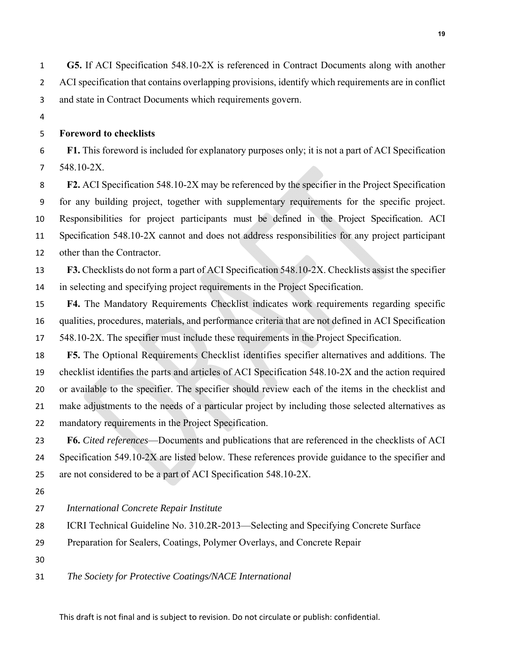**G5.** If ACI Specification 548.10-2X is referenced in Contract Documents along with another ACI specification that contains overlapping provisions, identify which requirements are in conflict and state in Contract Documents which requirements govern.

# **Foreword to checklists**

**F1.** This foreword is included for explanatory purposes only; it is not a part of ACI Specification 548.10-2X.

**F2.** ACI Specification 548.10-2X may be referenced by the specifier in the Project Specification for any building project, together with supplementary requirements for the specific project. Responsibilities for project participants must be defined in the Project Specification. ACI Specification 548.10-2X cannot and does not address responsibilities for any project participant other than the Contractor.

**F3.** Checklists do not form a part of ACI Specification 548.10-2X. Checklists assist the specifier in selecting and specifying project requirements in the Project Specification.

**F4.** The Mandatory Requirements Checklist indicates work requirements regarding specific qualities, procedures, materials, and performance criteria that are not defined in ACI Specification 548.10-2X. The specifier must include these requirements in the Project Specification.

**F5.** The Optional Requirements Checklist identifies specifier alternatives and additions. The checklist identifies the parts and articles of ACI Specification 548.10-2X and the action required or available to the specifier. The specifier should review each of the items in the checklist and make adjustments to the needs of a particular project by including those selected alternatives as mandatory requirements in the Project Specification.

**F6.** *Cited references*—Documents and publications that are referenced in the checklists of ACI 24 Specification 549.10-2X are listed below. These references provide guidance to the specifier and are not considered to be a part of ACI Specification 548.10-2X.

### *International Concrete Repair Institute*

- ICRI Technical Guideline No. 310.2R-2013—Selecting and Specifying Concrete Surface
- Preparation for Sealers, Coatings, Polymer Overlays, and Concrete Repair
- 
- *The Society for Protective Coatings/NACE International*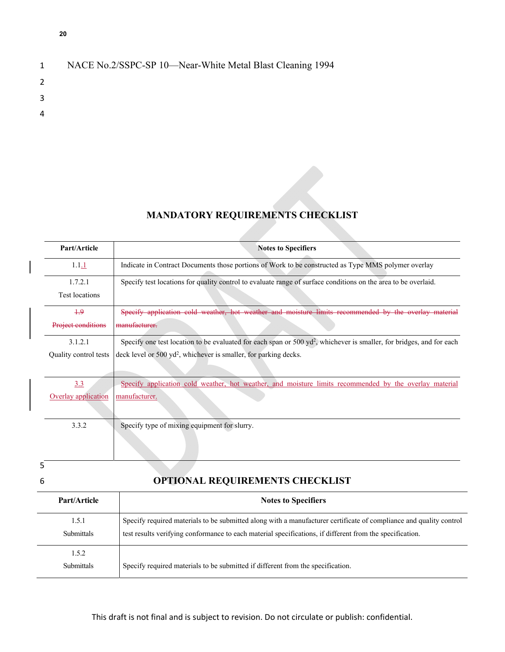| $\mathbf{1}$  | NACE No.2/SSPC-SP 10—Near-White Metal Blast Cleaning 1994 |
|---------------|-----------------------------------------------------------|
| $\mathcal{L}$ |                                                           |
| -3            |                                                           |
| 4             |                                                           |
|               |                                                           |

# **MANDATORY REQUIREMENTS CHECKLIST**

| Part/Article          | <b>Notes to Specifiers</b>                                                                                                      |
|-----------------------|---------------------------------------------------------------------------------------------------------------------------------|
| 1.1.1                 | Indicate in Contract Documents those portions of Work to be constructed as Type MMS polymer overlay                             |
| 1.7.2.1               | Specify test locations for quality control to evaluate range of surface conditions on the area to be overlaid.                  |
| Test locations        |                                                                                                                                 |
| $+9$                  | hot weather and moisture limits recommended by<br>Specify application cold weather,<br>يتملعونيم                                |
| Project conditions    | manufacturer                                                                                                                    |
| 3.1.2.1               | Specify one test location to be evaluated for each span or $500 \text{ yd}^2$ , whichever is smaller, for bridges, and for each |
| Quality control tests | deck level or 500 yd <sup>2</sup> , whichever is smaller, for parking decks.                                                    |
|                       |                                                                                                                                 |
| 3.3                   | Specify application cold weather, hot weather, and moisture limits recommended by the overlay material                          |
| Overlay application   | manufacturer.                                                                                                                   |
|                       |                                                                                                                                 |
| 3.3.2                 | Specify type of mixing equipment for slurry.                                                                                    |
|                       |                                                                                                                                 |
|                       |                                                                                                                                 |
|                       |                                                                                                                                 |

# 6 **OPTIONAL REQUIREMENTS CHECKLIST**

| Part/Article               | <b>Notes to Specifiers</b>                                                                                                                                                                                                     |
|----------------------------|--------------------------------------------------------------------------------------------------------------------------------------------------------------------------------------------------------------------------------|
| 1.5.1<br>Submittals        | Specify required materials to be submitted along with a manufacturer certificate of compliance and quality control<br>test results verifying conformance to each material specifications, if different from the specification. |
| 1.5.2<br><b>Submittals</b> | Specify required materials to be submitted if different from the specification.                                                                                                                                                |